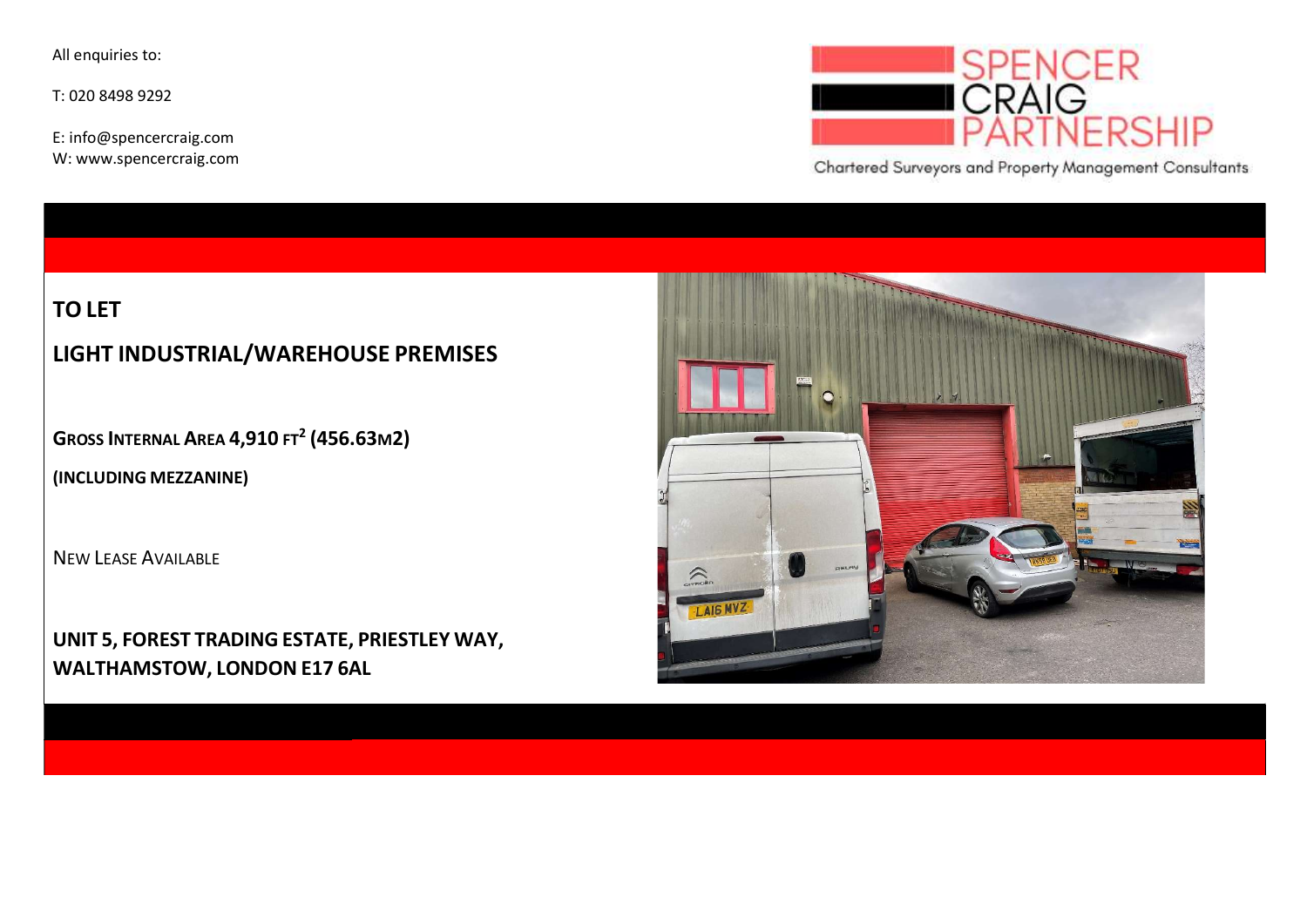All enquiries to:

T: 020 8498 9292

E: info@spencercraig.com W: www.spencercraig.com



Chartered Surveyors and Property Management Consultants

## TO LET

## LIGHT INDUSTRIAL/WAREHOUSE PREMISES

GROSS INTERNAL AREA  $4,910$  ft<sup>2</sup> (456.63m2)

(INCLUDING MEZZANINE)

NEW LEASE AVAILABLE

UNIT 5, FOREST TRADING ESTATE, PRIESTLEY WAY, WALTHAMSTOW, LONDON E17 6AL